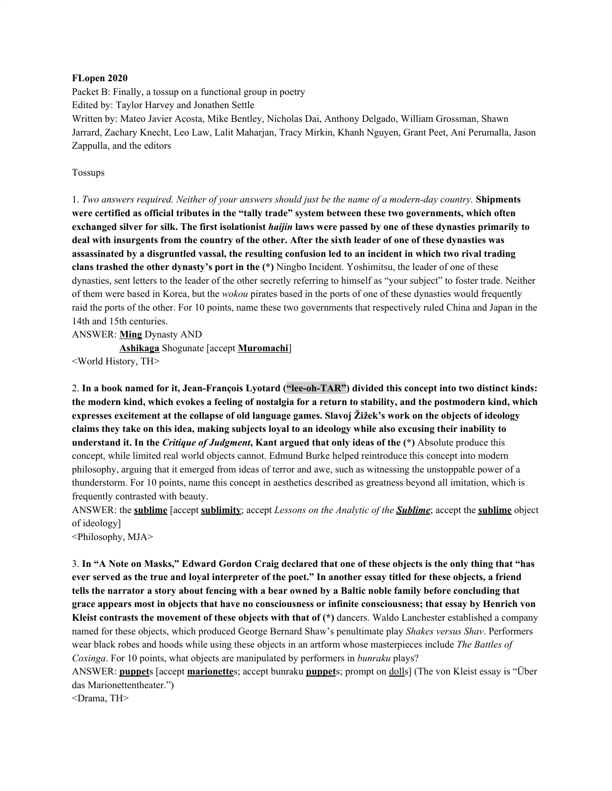#### **FLopen 2020**

Packet B: Finally, a tossup on a functional group in poetry Edited by: Taylor Harvey and Jonathen Settle Written by: Mateo Javier Acosta, Mike Bentley, Nicholas Dai, Anthony Delgado, William Grossman, Shawn Jarrard, Zachary Knecht, Leo Law, Lalit Maharjan, Tracy Mirkin, Khanh Nguyen, Grant Peet, Ani Perumalla, Jason Zappulla, and the editors

Tossups

1. Two answers required. Neither of your answers should just be the name of a modern-day country. Shipments **were certified as official tributes in the "tally trade" system between these two governments, which often** exchanged silver for silk. The first isolationist *haijin* laws were passed by one of these dynasties primarily to deal with insurgents from the country of the other. After the sixth leader of one of these dynasties was assassinated by a disgruntled vassal, the resulting confusion led to an incident in which two rival trading **clans trashed the other dynasty's port in the (\*)** Ningbo Incident. Yoshimitsu, the leader of one of these dynasties, sent letters to the leader of the other secretly referring to himself as "your subject" to foster trade. Neither of them were based in Korea, but the *wokou* pirates based in the ports of one of these dynasties would frequently raid the ports of the other. For 10 points, name these two governments that respectively ruled China and Japan in the 14th and 15th centuries.

ANSWER: **Ming** Dynasty AND

**Ashikaga** Shogunate [accept **Muromachi**]

<World History, TH>

2. **In a book named for it, Jean-François Lyotard ("lee-oh-TAR") divided this concept into two distinct kinds:** the modern kind, which evokes a feeling of nostalgia for a return to stability, and the postmodern kind, which expresses excitement at the collapse of old language games. Slavoj Žižek's work on the objects of ideology claims they take on this idea, making subjects loyal to an ideology while also excusing their inability to **understand it. In the** *Critique of Judgment***, Kant argued that only ideas of the (\*)** Absolute produce this concept, while limited real world objects cannot. Edmund Burke helped reintroduce this concept into modern philosophy, arguing that it emerged from ideas of terror and awe, such as witnessing the unstoppable power of a thunderstorm. For 10 points, name this concept in aesthetics described as greatness beyond all imitation, which is frequently contrasted with beauty.

ANSWER: the **sublime** [accept **sublimity**; accept *Lessons on the Analytic of the Sublime*; accept the **sublime** object of ideology]

<Philosophy, MJA>

3. In "A Note on Masks," Edward Gordon Craig declared that one of these objects is the only thing that "has ever served as the true and loval interpreter of the poet." In another essay titled for these objects, a friend tells the narrator a story about fencing with a bear owned by a Baltic noble family before concluding that grace appears most in objects that have no consciousness or infinite consciousness; that essay by Henrich von **Kleist contrasts the movement of these objects with that of (\*)** dancers. Waldo Lanchester established a company named for these objects, which produced George Bernard Shaw's penultimate play *Shakes versus Shav*. Performers wear black robes and hoods while using these objects in an artform whose masterpieces include *The Battles of Coxinga*. For 10 points, what objects are manipulated by performers in *bunraku* plays?

ANSWER: **puppet**s [accept **marionette**s; accept bunraku **puppet**s; prompt on dolls] (The von Kleist essay is "Über das Marionettentheater.")

<Drama, TH>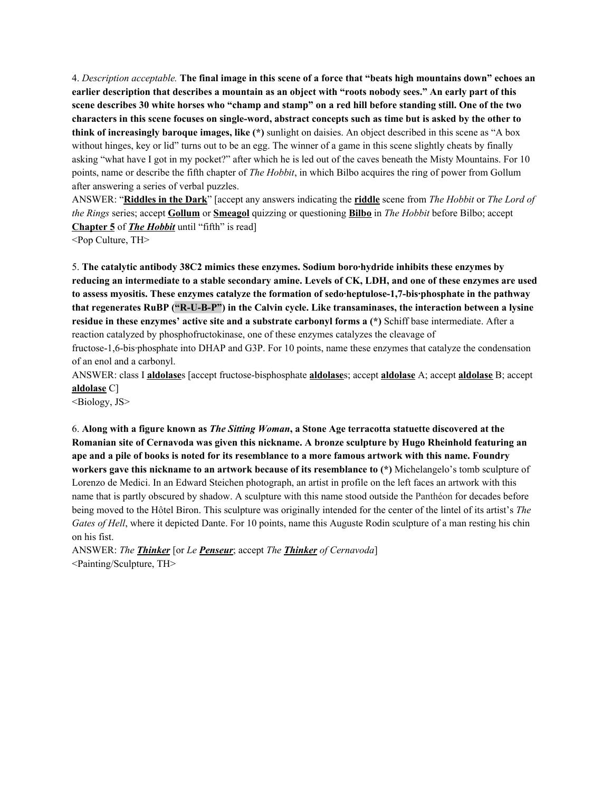4. Description acceptable. The final image in this scene of a force that "beats high mountains down" echoes an earlier description that describes a mountain as an object with "roots nobody sees." An early part of this scene describes 30 white horses who "champ and stamp" on a red hill before standing still. One of the two characters in this scene focuses on single-word, abstract concepts such as time but is asked by the other to **think of increasingly baroque images, like (\*)** sunlight on daisies. An object described in this scene as "A box without hinges, key or lid" turns out to be an egg. The winner of a game in this scene slightly cheats by finally asking "what have I got in my pocket?" after which he is led out of the caves beneath the Misty Mountains. For 10 points, name or describe the fifth chapter of *The Hobbit*, in which Bilbo acquires the ring of power from Gollum after answering a series of verbal puzzles.

ANSWER: "**Riddles in the Dark**" [accept any answers indicating the **riddle** scene from *The Hobbit* or *The Lord of the Rings* series; accept **Gollum** or **Smeagol** quizzing or questioning **Bilbo** in *The Hobbit* before Bilbo; accept **Chapter 5** of *The Hobbit* until "fifth" is read]

<Pop Culture, TH>

5. **The catalytic antibody 38C2 mimics these enzymes. Sodium boro·hydride inhibits these enzymes by** reducing an intermediate to a stable secondary amine. Levels of CK, LDH, and one of these enzymes are used **to assess myositis. These enzymes catalyze the formation of sedo·heptulose-1,7-bis·phosphate in the pathway that regenerates RuBP ("R-U-B-P") in the Calvin cycle. Like transaminases, the interaction between a lysine residue in these enzymes' active site and a substrate carbonyl forms a (\*)** Schiff base intermediate. After a reaction catalyzed by phosphofructokinase, one of these enzymes catalyzes the cleavage of fructose-1,6-bis·phosphate into DHAP and G3P. For 10 points, name these enzymes that catalyze the condensation

ANSWER: class I **aldolase**s [accept fructose-bisphosphate **aldolase**s; accept **aldolase** A; accept **aldolase** B; accept **aldolase** C]

<Biology, JS>

of an enol and a carbonyl.

6. Along with a figure known as The Sitting Woman, a Stone Age terracotta statuette discovered at the **Romanian site of Cernavoda was given this nickname. A bronze sculpture by Hugo Rheinhold featuring an** ape and a pile of books is noted for its resemblance to a more famous artwork with this name. Foundry **workers gave this nickname to an artwork because of its resemblance to (\*)** Michelangelo's tomb sculpture of Lorenzo de Medici. In an Edward Steichen photograph, an artist in profile on the left faces an artwork with this name that is partly obscured by shadow. A sculpture with this name stood outside the Panthéon for decades before being moved to the Hôtel Biron. This sculpture was originally intended for the center of the lintel of its artist's *The Gates of Hell*, where it depicted Dante. For 10 points, name this Auguste Rodin sculpture of a man resting his chin on his fist.

ANSWER: *The Thinker* [or *Le Penseur*; accept *The Thinker of Cernavoda*] <Painting/Sculpture, TH>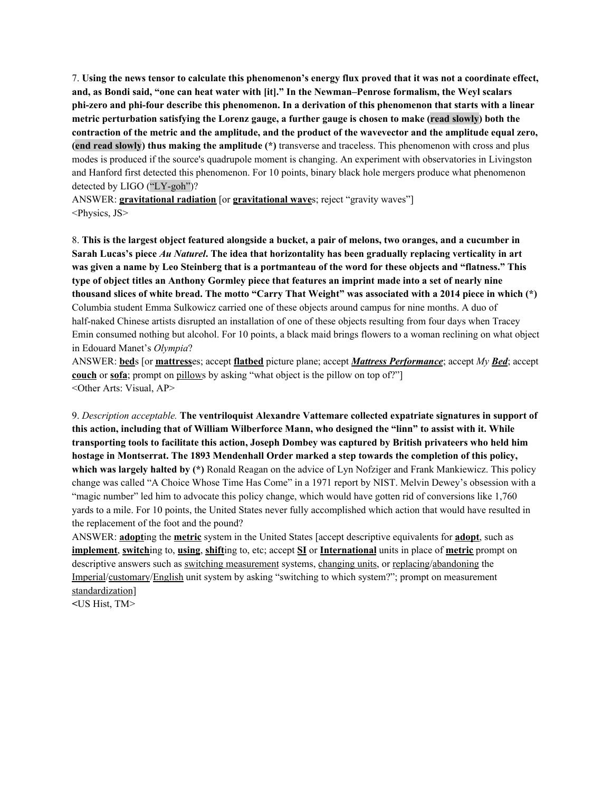7. Using the news tensor to calculate this phenomenon's energy flux proved that it was not a coordinate effect, **and, as Bondi said, "one can heat water with [it]." In the Newman–Penrose formalism, the Weyl scalars** phi-zero and phi-four describe this phenomenon. In a derivation of this phenomenon that starts with a linear **metric perturbation satisfying the Lorenz gauge, a further gauge is chosen to make (read slowly) both the** contraction of the metric and the amplitude, and the product of the wavevector and the amplitude equal zero, **(end read slowly) thus making the amplitude (\*)** transverse and traceless. This phenomenon with cross and plus modes is produced if the source's quadrupole moment is changing. An experiment with observatories in Livingston and Hanford first detected this phenomenon. For 10 points, binary black hole mergers produce what phenomenon detected by LIGO ("LY-goh")?

ANSWER: **gravitational radiation** [or **gravitational wave**s; reject "gravity waves"] <Physics, JS>

8. This is the largest object featured alongside a bucket, a pair of melons, two oranges, and a cucumber in Sarah Lucas's piece Au Naturel. The idea that horizontality has been gradually replacing verticality in art was given a name by Leo Steinberg that is a portmanteau of the word for these objects and "flatness." This type of object titles an Anthony Gormley piece that features an imprint made into a set of nearly nine thousand slices of white bread. The motto "Carry That Weight" was associated with a 2014 piece in which (\*) Columbia student Emma Sulkowicz carried one of these objects around campus for nine months. A duo of half-naked Chinese artists disrupted an installation of one of these objects resulting from four days when Tracey Emin consumed nothing but alcohol. For 10 points, a black maid brings flowers to a woman reclining on what object in Edouard Manet's *Olympia*?

ANSWER: **bed**s [or **mattress**es; accept **flatbed** picture plane; accept *Mattress Performance*; accept *My Bed*; accept **couch** or **sofa**; prompt on pillows by asking "what object is the pillow on top of?" <Other Arts: Visual, AP>

9. *Description acceptable.* **The ventriloquist Alexandre Vattemare collected expatriate signatures in support of this action, including that of William Wilberforce Mann, who designed the "linn" to assist with it. While transporting tools to facilitate this action, Joseph Dombey was captured by British privateers who held him hostage in Montserrat. The 1893 Mendenhall Order marked a step towards the completion of this policy, which was largely halted by (\*)** Ronald Reagan on the advice of Lyn Nofziger and Frank Mankiewicz. This policy change was called "A Choice Whose Time Has Come" in a 1971 report by NIST. Melvin Dewey's obsession with a "magic number" led him to advocate this policy change, which would have gotten rid of conversions like 1,760 yards to a mile. For 10 points, the United States never fully accomplished which action that would have resulted in the replacement of the foot and the pound?

ANSWER: **adopt**ing the **metric** system in the United States [accept descriptive equivalents for **adopt**, such as **implement**, **switch**ing to, **using**, **shift**ing to, etc; accept **SI** or **International** units in place of **metric** prompt on descriptive answers such as switching measurement systems, changing units, or replacing/abandoning the Imperial/customary/English unit system by asking "switching to which system?"; prompt on measurement standardization]

**<**US Hist, TM>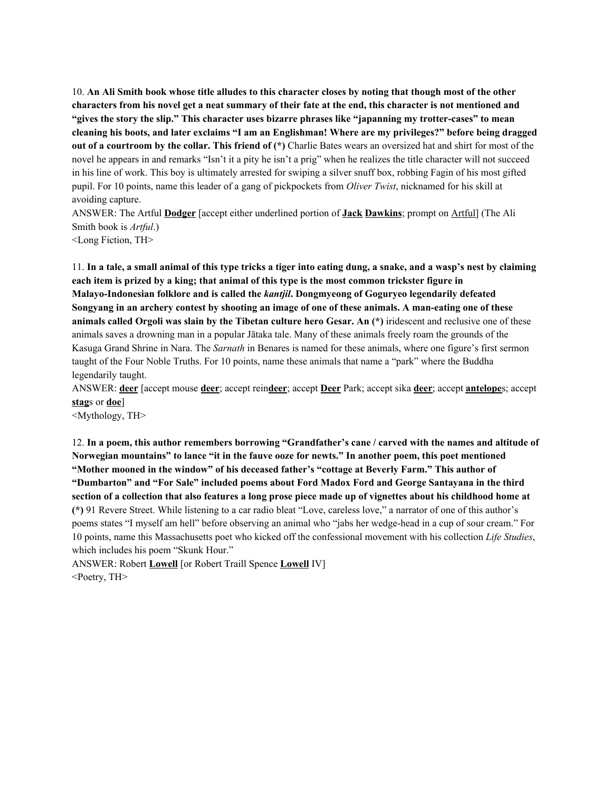10. An Ali Smith book whose title alludes to this character closes by noting that though most of the other characters from his novel get a neat summary of their fate at the end, this character is not mentioned and **"gives the story the slip." This character uses bizarre phrases like "japanning my trotter-cases" to mean** cleaning his boots, and later exclaims "I am an Englishman! Where are my privileges?" before being dragged **out of a courtroom by the collar. This friend of (\*)** Charlie Bates wears an oversized hat and shirt for most of the novel he appears in and remarks "Isn't it a pity he isn't a prig" when he realizes the title character will not succeed in his line of work. This boy is ultimately arrested for swiping a silver snuff box, robbing Fagin of his most gifted pupil. For 10 points, name this leader of a gang of pickpockets from *Oliver Twist*, nicknamed for his skill at avoiding capture.

ANSWER: The Artful **Dodger** [accept either underlined portion of **Jack Dawkins**; prompt on Artful] (The Ali Smith book is *Artful*.)

<Long Fiction, TH>

11. In a tale, a small animal of this type tricks a tiger into eating dung, a snake, and a wasp's nest by claiming each item is prized by a king; that animal of this type is the most common trickster figure in **Malayo-Indonesian folklore and is called the** *kantjil***. Dongmyeong of Goguryeo legendarily defeated** Songyang in an archery contest by shooting an image of one of these animals. A man-eating one of these **animals called Orgoli was slain by the Tibetan culture hero Gesar. An (\*)** iridescent and reclusive one of these animals saves a drowning man in a popular Jātaka tale. Many of these animals freely roam the grounds of the Kasuga Grand Shrine in Nara. The *Sarnath* in Benares is named for these animals, where one figure's first sermon taught of the Four Noble Truths. For 10 points, name these animals that name a "park" where the Buddha legendarily taught.

ANSWER: **deer** [accept mouse **deer**; accept rein**deer**; accept **Deer** Park; accept sika **deer**; accept **antelope**s; accept **stag**s or **doe**]

<Mythology, TH>

12. In a poem, this author remembers borrowing "Grandfather's cane / carved with the names and altitude of **Norwegian mountains" to lance "it in the fauve ooze for newts." In another poem, this poet mentioned "Mother mooned in the window" of his deceased father's "cottage at Beverly Farm." This author of "Dumbarton" and "For Sale" included poems about Ford Madox Ford and George Santayana in the third** section of a collection that also features a long prose piece made up of vignettes about his childhood home at **(\*)** 91 Revere Street. While listening to a car radio bleat "Love, careless love," a narrator of one of this author's poems states "I myself am hell" before observing an animal who "jabs her wedge-head in a cup of sour cream." For 10 points, name this Massachusetts poet who kicked off the confessional movement with his collection *Life Studies*, which includes his poem "Skunk Hour."

ANSWER: Robert **Lowell** [or Robert Traill Spence **Lowell** IV] <Poetry, TH>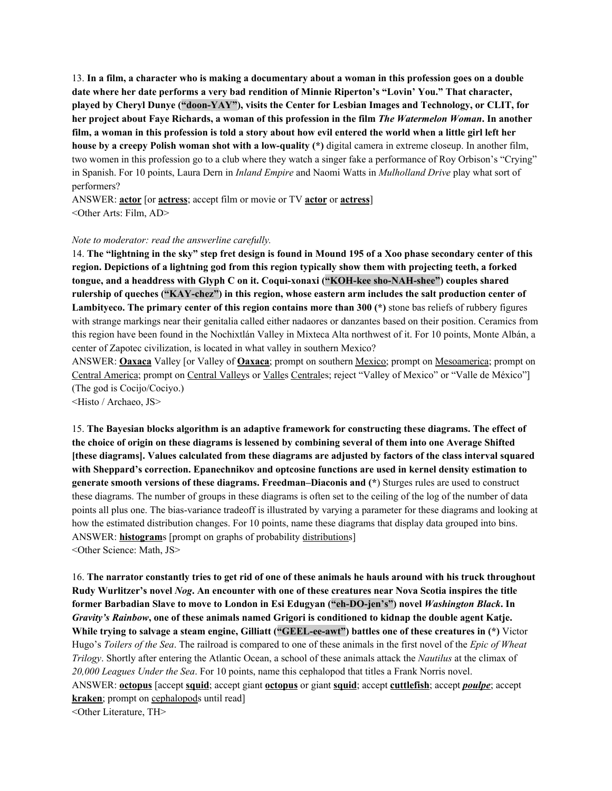13. In a film, a character who is making a documentary about a woman in this profession goes on a double **date where her date performs a very bad rendition of Minnie Riperton's "Lovin' You." That character, played by Cheryl Dunye ("doon-YAY"), visits the Center for Lesbian Images and Technology, or CLIT, for** her project about Faye Richards, a woman of this profession in the film *The Watermelon Woman*. In another film, a woman in this profession is told a story about how evil entered the world when a little girl left her **house by a creepy Polish woman shot with a low-quality (\*)** digital camera in extreme closeup. In another film, two women in this profession go to a club where they watch a singer fake a performance of Roy Orbison's "Crying" in Spanish. For 10 points, Laura Dern in *Inland Empire* and Naomi Watts in *Mulholland Drive* play what sort of performers?

ANSWER: **actor** [or **actress**; accept film or movie or TV **actor** or **actress**] <Other Arts: Film, AD>

#### *Note to moderator: read the answerline carefully.*

14. The "lightning in the sky" step fret design is found in Mound 195 of a Xoo phase secondary center of this region. Depictions of a lightning god from this region typically show them with projecting teeth, a forked **tongue, and a headdress with Glyph C on it. Coqui-xonaxi ("KOH-kee sho-NAH-shee") couples shared rulership of queches ("KAY-chez") in this region, whose eastern arm includes the salt production center of Lambityeco. The primary center of this region contains more than 300 (\*)** stone bas reliefs of rubbery figures with strange markings near their genitalia called either nadaores or danzantes based on their position. Ceramics from this region have been found in the Nochixtlán Valley in Mixteca Alta northwest of it. For 10 points, Monte Albán, a center of Zapotec civilization, is located in what valley in southern Mexico?

ANSWER: **Oaxaca** Valley [or Valley of **Oaxaca**; prompt on southern Mexico; prompt on Mesoamerica; prompt on Central America; prompt on Central Valleys or Valles Centrales; reject "Valley of Mexico" or "Valle de México"] (The god is Cocijo/Cociyo.)

<Histo / Archaeo, JS>

15. **The Bayesian blocks algorithm is an adaptive framework for constructing these diagrams. The effect of** the choice of origin on these diagrams is lessened by combining several of them into one Average Shifted **[these diagrams]. Values calculated from these diagrams are adjusted by factors of the class interval squared with Sheppard's correction. Epanechnikov and optcosine functions are used in kernel density estimation to generate smooth versions of these diagrams. Freedman–Diaconis and (\***) Sturges rules are used to construct these diagrams. The number of groups in these diagrams is often set to the ceiling of the log of the number of data points all plus one. The bias-variance tradeoff is illustrated by varying a parameter for these diagrams and looking at how the estimated distribution changes. For 10 points, name these diagrams that display data grouped into bins. ANSWER: **histogram**s [prompt on graphs of probability distributions] <Other Science: Math, JS>

16. The narrator constantly tries to get rid of one of these animals he hauls around with his truck throughout Rudy Wurlitzer's novel *Nog.* An encounter with one of these creatures near Nova Scotia inspires the title **former Barbadian Slave to move to London in Esi Edugyan ("eh-DO-jen's") novel** *Washington Black***. In** *Gravity's Rainbow***, one of these animals named Grigori is conditioned to kidnap the double agent Katje. While trying to salvage a steam engine, Gilliatt ("GEEL-ee-awt") battles one of these creatures in (\*)** Victor Hugo's *Toilers of the Sea*. The railroad is compared to one of these animals in the first novel of the *Epic of Wheat Trilogy*. Shortly after entering the Atlantic Ocean, a school of these animals attack the *Nautilus* at the climax of *20,000 Leagues Under the Sea*. For 10 points, name this cephalopod that titles a Frank Norris novel. ANSWER: **octopus** [accept **squid**; accept giant **octopus** or giant **squid**; accept **cuttlefish**; accept *poulpe*; accept **kraken**; prompt on cephalopods until read] <Other Literature, TH>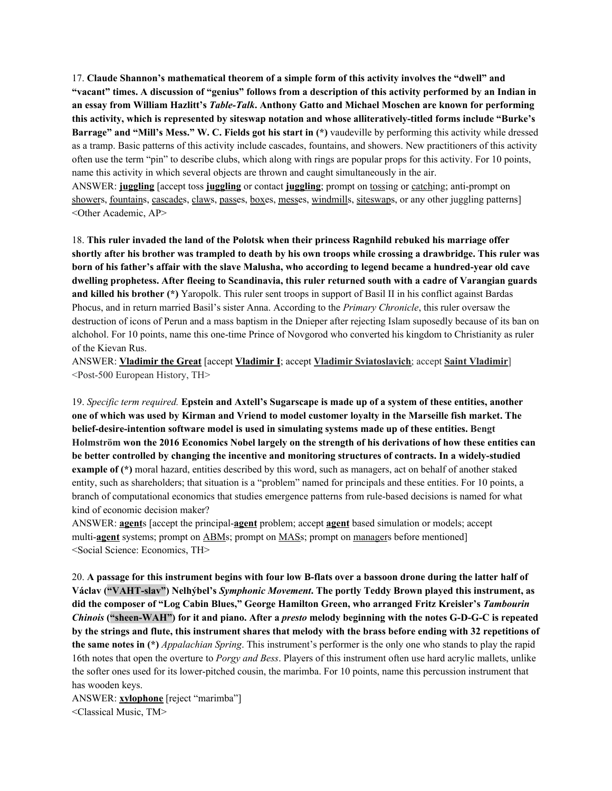17. **Claude Shannon's mathematical theorem of a simple form of this activity involves the "dwell" and** "vacant" times. A discussion of "genius" follows from a description of this activity performed by an Indian in **an essay from William Hazlitt's** *Table-Talk***. Anthony Gatto and Michael Moschen are known for performing this activity, which is represented by siteswap notation and whose alliteratively-titled forms include "Burke's Barrage" and "Mill's Mess." W. C. Fields got his start in (\*)** vaudeville by performing this activity while dressed as a tramp. Basic patterns of this activity include cascades, fountains, and showers. New practitioners of this activity often use the term "pin" to describe clubs, which along with rings are popular props for this activity. For 10 points, name this activity in which several objects are thrown and caught simultaneously in the air.

ANSWER: **juggling** [accept toss **juggling** or contact **juggling**; prompt on <u>tossing</u> or catching; anti-prompt on showers, fountains, cascades, claws, passes, boxes, messes, windmills, siteswaps, or any other juggling patterns] <Other Academic, AP>

18. **This ruler invaded the land of the Polotsk when their princess Ragnhild rebuked his marriage offer** shortly after his brother was trampled to death by his own troops while crossing a drawbridge. This ruler was born of his father's affair with the slave Malusha, who according to legend became a hundred-year old cave **dwelling prophetess. After fleeing to Scandinavia, this ruler returned south with a cadre of Varangian guards and killed his brother (\*)** Yaropolk. This ruler sent troops in support of Basil II in his conflict against Bardas Phocus, and in return married Basil's sister Anna. According to the *Primary Chronicle*, this ruler oversaw the destruction of icons of Perun and a mass baptism in the Dnieper after rejecting Islam suposedly because of its ban on alchohol. For 10 points, name this one-time Prince of Novgorod who converted his kingdom to Christianity as ruler of the Kievan Rus.

ANSWER: **Vladimir the Great** [accept **Vladimir I**; accept **Vladimir Sviatoslavich**; accept **Saint Vladimir**] <Post-500 European History, TH>

19. Specific term required. Epstein and Axtell's Sugarscape is made up of a system of these entities, another one of which was used by Kirman and Vriend to model customer loyalty in the Marseille fish market. The **belief-desire-intention software model is used in simulating systems made up of these entities. Bengt** Holmström won the 2016 Economics Nobel largely on the strength of his derivations of how these entities can **be better controlled by changing the incentive and monitoring structures of contracts. In a widely-studied example** of (\*) moral hazard, entities described by this word, such as managers, act on behalf of another staked entity, such as shareholders; that situation is a "problem" named for principals and these entities. For 10 points, a branch of computational economics that studies emergence patterns from rule-based decisions is named for what kind of economic decision maker?

ANSWER: **agent**s [accept the principal-**agent** problem; accept **agent** based simulation or models; accept multi-**agent** systems; prompt on ABMs; prompt on MASs; prompt on managers before mentioned] <Social Science: Economics, TH>

20. A passage for this instrument begins with four low B-flats over a bassoon drone during the latter half of **Václav ("VAHT-slav") Nelhýbel's** *Symphonic Movement***. The portly Teddy Brown played this instrument, as did the composer of "Log Cabin Blues," George Hamilton Green, who arranged Fritz Kreisler's** *Tambourin Chinois* ("sheen-WAH") for it and piano. After a *presto* melody beginning with the notes G-D-G-C is repeated by the strings and flute, this instrument shares that melody with the brass before ending with 32 repetitions of **the same notes in (\*)** *Appalachian Spring*. This instrument's performer is the only one who stands to play the rapid 16th notes that open the overture to *Porgy and Bess*. Players of this instrument often use hard acrylic mallets, unlike the softer ones used for its lower-pitched cousin, the marimba. For 10 points, name this percussion instrument that has wooden keys.

ANSWER: **xylophone** [reject "marimba"] <Classical Music, TM>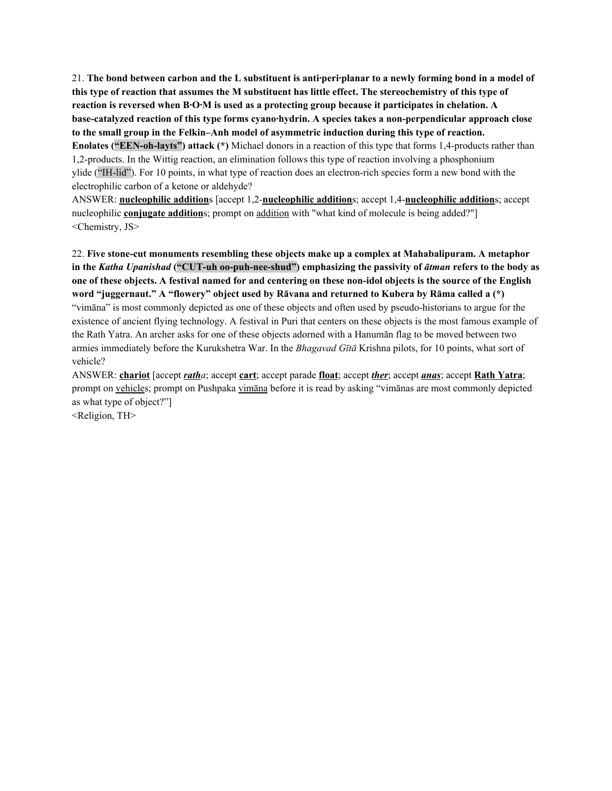21. The bond between carbon and the L substituent is anti-peri-planar to a newly forming bond in a model of this type of reaction that assumes the M substituent has little effect. The stereochemistry of this type of **reaction is reversed when B·O·M is used as a protecting group because it participates in chelation. A base-catalyzed reaction of this type forms cyano·hydrin. A species takes a non-perpendicular approach close to the small group in the Felkin–Anh model of asymmetric induction during this type of reaction.**

**Enolates ("EEN-oh-layts") attack (\*)** Michael donors in a reaction of this type that forms 1,4-products rather than 1,2-products. In the Wittig reaction, an elimination follows this type of reaction involving a phosphonium ylide ("IH-lid"). For 10 points, in what type of reaction does an electron-rich species form a new bond with the electrophilic carbon of a ketone or aldehyde?

ANSWER: **nucleophilic addition**s [accept 1,2-**nucleophilic addition**s; accept 1,4-**nucleophilic addition**s; accept nucleophilic **conjugate addition**s; prompt on addition with "what kind of molecule is being added?"] <Chemistry, JS>

22. **Five stone-cut monuments resembling these objects make up a complex at Mahabalipuram. A metaphor in the** *Katha Upanishad* **("CUT-uh oo-puh-nee-shud") emphasizing the passivity of** *ātman* **refers to the body as** one of these objects. A festival named for and centering on these non-idol objects is the source of the English **word "juggernaut." A "flowery" object used by Rāvana and returned to Kubera by Rāma called a (\*)** "vimāna" is most commonly depicted as one of these objects and often used by pseudo-historians to argue for the existence of ancient flying technology. A festival in Puri that centers on these objects is the most famous example of the Rath Yatra. An archer asks for one of these objects adorned with a Hanumān flag to be moved between two armies immediately before the Kurukshetra War. In the *Bhagavad Gītā* Krishna pilots, for 10 points, what sort of vehicle?

ANSWER: **chariot** [accept *ratha*; accept **cart**; accept parade **float**; accept *ther*; accept *anas*; accept **Rath Yatra**; prompt on vehicles; prompt on Pushpaka vimāna before it is read by asking "vimānas are most commonly depicted as what type of object?"]

<Religion, TH>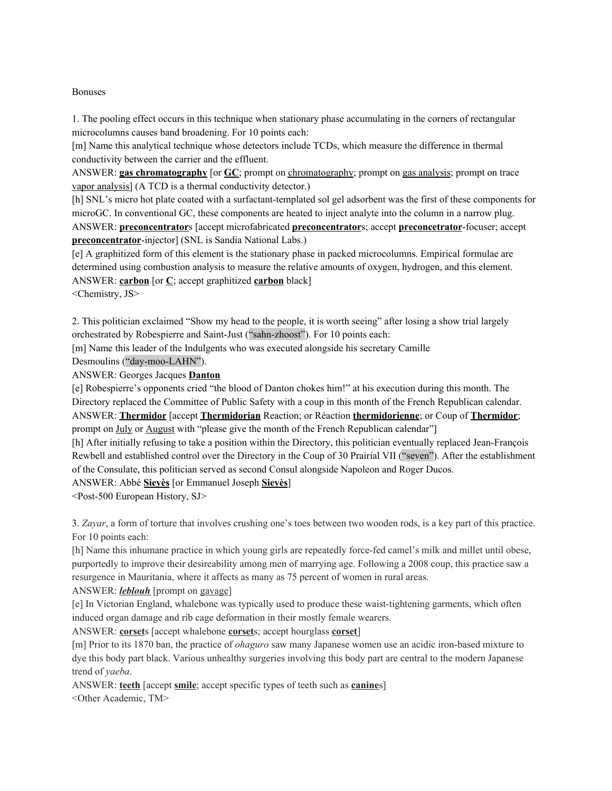#### Bonuses

1. The pooling effect occurs in this technique when stationary phase accumulating in the corners of rectangular microcolumns causes band broadening. For 10 points each:

[m] Name this analytical technique whose detectors include TCDs, which measure the difference in thermal conductivity between the carrier and the effluent.

ANSWER: **gas chromatography** [or **GC**; prompt on chromatography; prompt on gas analysis; prompt on trace vapor analysis] (A TCD is a thermal conductivity detector.)

[h] SNL's micro hot plate coated with a surfactant-templated sol gel adsorbent was the first of these components for microGC. In conventional GC, these components are heated to inject analyte into the column in a narrow plug. ANSWER: **preconcentrator**s [accept microfabricated **preconcentrator**s; accept **preconcetrator**-focuser; accept **preconcentrator**-injector] (SNL is Sandia National Labs.)

[e] A graphitized form of this element is the stationary phase in packed microcolumns. Empirical formulae are determined using combustion analysis to measure the relative amounts of oxygen, hydrogen, and this element. ANSWER: **carbon** [or **C**; accept graphitized **carbon** black]

<Chemistry, JS>

2. This politician exclaimed "Show my head to the people, it is worth seeing" after losing a show trial largely orchestrated by Robespierre and Saint-Just ("sahn-zhoost"). For 10 points each:

[m] Name this leader of the Indulgents who was executed alongside his secretary Camille Desmoulins ("day-moo-LAHN").

ANSWER: Georges Jacques **Danton**

[e] Robespierre's opponents cried "the blood of Danton chokes him!" at his execution during this month. The Directory replaced the Committee of Public Safety with a coup in this month of the French Republican calendar. ANSWER: **Thermidor** [accept **Thermidorian** Reaction; or Réaction **thermidorienne**; or Coup of **Thermidor**; prompt on July or August with "please give the month of the French Republican calendar"]

[h] After initially refusing to take a position within the Directory, this politician eventually replaced Jean-François Rewbell and established control over the Directory in the Coup of 30 Prairial VII ("seven"). After the establishment of the Consulate, this politician served as second Consul alongside Napoleon and Roger Ducos.

ANSWER: Abbé **Sieyès** [or Emmanuel Joseph **Sieyès**]

<Post-500 European History, SJ>

3. *Zayar*, a form of torture that involves crushing one's toes between two wooden rods, is a key part of this practice. For 10 points each:

[h] Name this inhumane practice in which young girls are repeatedly force-fed camel's milk and millet until obese, purportedly to improve their desireability among men of marrying age. Following a 2008 coup, this practice saw a resurgence in Mauritania, where it affects as many as 75 percent of women in rural areas.

ANSWER: *leblouh* [prompt on gavage]

[e] In Victorian England, whalebone was typically used to produce these waist-tightening garments, which often induced organ damage and rib cage deformation in their mostly female wearers.

ANSWER: **corset**s [accept whalebone **corset**s; accept hourglass **corset**]

[m] Prior to its 1870 ban, the practice of *ohaguro* saw many Japanese women use an acidic iron-based mixture to dye this body part black. Various unhealthy surgeries involving this body part are central to the modern Japanese trend of *yaeba*.

ANSWER: **teeth** [accept **smile**; accept specific types of teeth such as **canine**s] <Other Academic, TM>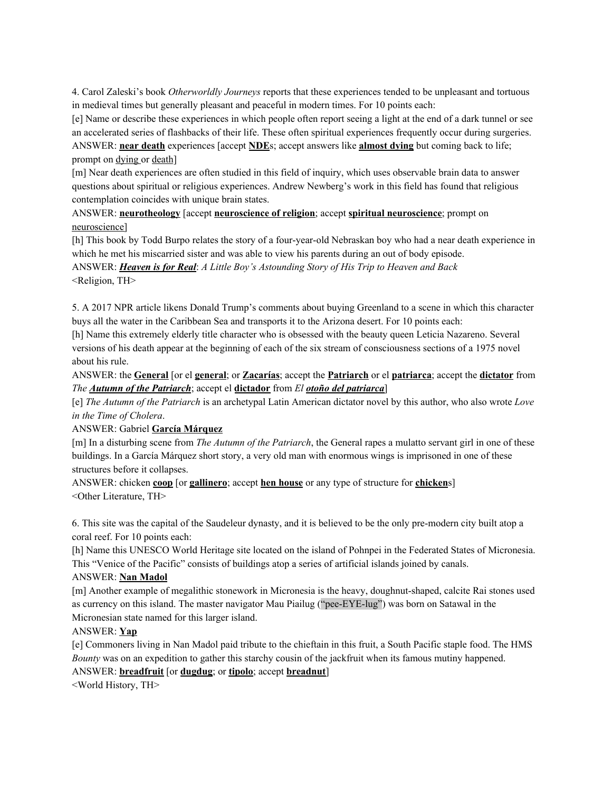4. Carol Zaleski's book *Otherworldly Journeys* reports that these experiences tended to be unpleasant and tortuous in medieval times but generally pleasant and peaceful in modern times. For 10 points each:

[e] Name or describe these experiences in which people often report seeing a light at the end of a dark tunnel or see an accelerated series of flashbacks of their life. These often spiritual experiences frequently occur during surgeries. ANSWER: **near death** experiences [accept **NDE**s; accept answers like **almost dying** but coming back to life; prompt on dying or death]

[m] Near death experiences are often studied in this field of inquiry, which uses observable brain data to answer questions about spiritual or religious experiences. Andrew Newberg's work in this field has found that religious contemplation coincides with unique brain states.

ANSWER: **neurotheology** [accept **neuroscience of religion**; accept **spiritual neuroscience**; prompt on neuroscience]

[h] This book by Todd Burpo relates the story of a four-year-old Nebraskan boy who had a near death experience in which he met his miscarried sister and was able to view his parents during an out of body episode.

ANSWER: *Heaven is for Real*: *A Little Boy's Astounding Story of His Trip to Heaven and Back* <Religion, TH>

5. A 2017 NPR article likens Donald Trump's comments about buying Greenland to a scene in which this character buys all the water in the Caribbean Sea and transports it to the Arizona desert. For 10 points each:

[h] Name this extremely elderly title character who is obsessed with the beauty queen Leticia Nazareno. Several versions of his death appear at the beginning of each of the six stream of consciousness sections of a 1975 novel about his rule.

ANSWER: the **General** [or el **general**; or **Zacarías**; accept the **Patriarch** or el **patriarca**; accept the **dictator** from *The Autumn of the Patriarch*; accept el **dictador** from *El otoño del patriarca*]

[e] *The Autumn of the Patriarch* is an archetypal Latin American dictator novel by this author, who also wrote *Love in the Time of Cholera*.

ANSWER: Gabriel **García Márquez**

[m] In a disturbing scene from *The Autumn of the Patriarch*, the General rapes a mulatto servant girl in one of these buildings. In a García Márquez short story, a very old man with enormous wings is imprisoned in one of these structures before it collapses.

ANSWER: chicken **coop** [or **gallinero**; accept **hen house** or any type of structure for **chicken**s] <Other Literature, TH>

6. This site was the capital of the Saudeleur dynasty, and it is believed to be the only pre-modern city built atop a coral reef. For 10 points each:

[h] Name this UNESCO World Heritage site located on the island of Pohnpei in the Federated States of Micronesia. This "Venice of the Pacific" consists of buildings atop a series of artificial islands joined by canals.

### ANSWER: **Nan Madol**

[m] Another example of megalithic stonework in Micronesia is the heavy, doughnut-shaped, calcite Rai stones used as currency on this island. The master navigator Mau Piailug ("pee-EYE-lug") was born on Satawal in the Micronesian state named for this larger island.

# ANSWER: **Yap**

[e] Commoners living in Nan Madol paid tribute to the chieftain in this fruit, a South Pacific staple food. The HMS *Bounty* was on an expedition to gather this starchy cousin of the jackfruit when its famous mutiny happened. ANSWER: **breadfruit** [or **dugdug**; or **tipolo**; accept **breadnut**]

<World History, TH>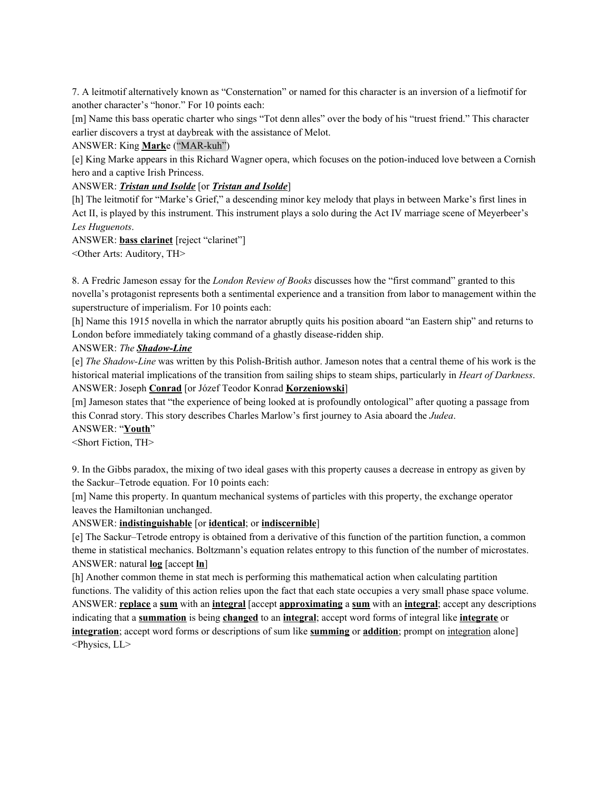7. A leitmotif alternatively known as "Consternation" or named for this character is an inversion of a liefmotif for another character's "honor." For 10 points each:

[m] Name this bass operatic charter who sings "Tot denn alles" over the body of his "truest friend." This character earlier discovers a tryst at daybreak with the assistance of Melot.

### ANSWER: King **Mark**e ("MAR-kuh")

[e] King Marke appears in this Richard Wagner opera, which focuses on the potion-induced love between a Cornish hero and a captive Irish Princess.

#### ANSWER: *Tristan und Isolde* [or *Tristan and Isolde*]

[h] The leitmotif for "Marke's Grief," a descending minor key melody that plays in between Marke's first lines in Act II, is played by this instrument. This instrument plays a solo during the Act IV marriage scene of Meyerbeer's *Les Huguenots*.

ANSWER: **bass clarinet** [reject "clarinet"]

<Other Arts: Auditory, TH>

8. A Fredric Jameson essay for the *London Review of Books* discusses how the "first command" granted to this novella's protagonist represents both a sentimental experience and a transition from labor to management within the superstructure of imperialism. For 10 points each:

[h] Name this 1915 novella in which the narrator abruptly quits his position aboard "an Eastern ship" and returns to London before immediately taking command of a ghastly disease-ridden ship.

### ANSWER: *The Shadow-Line*

[e] *The Shadow-Line* was written by this Polish-British author. Jameson notes that a central theme of his work is the historical material implications of the transition from sailing ships to steam ships, particularly in *Heart of Darkness*. ANSWER: Joseph **Conrad** [or Józef Teodor Konrad **Korzeniowski**]

[m] Jameson states that "the experience of being looked at is profoundly ontological" after quoting a passage from this Conrad story. This story describes Charles Marlow's first journey to Asia aboard the *Judea*.

ANSWER: "**Youth**"

<Short Fiction, TH>

9. In the Gibbs paradox, the mixing of two ideal gases with this property causes a decrease in entropy as given by the Sackur–Tetrode equation. For 10 points each:

[m] Name this property. In quantum mechanical systems of particles with this property, the exchange operator leaves the Hamiltonian unchanged.

### ANSWER: **indistinguishable** [or **identical**; or **indiscernible**]

[e] The Sackur–Tetrode entropy is obtained from a derivative of this function of the partition function, a common theme in statistical mechanics. Boltzmann's equation relates entropy to this function of the number of microstates. ANSWER: natural **log** [accept **ln**]

[h] Another common theme in stat mech is performing this mathematical action when calculating partition functions. The validity of this action relies upon the fact that each state occupies a very small phase space volume. ANSWER: **replace** a **sum** with an **integral** [accept **approximating** a **sum** with an **integral**; accept any descriptions indicating that a **summation** is being **changed** to an **integral**; accept word forms of integral like **integrate** or **integration**; accept word forms or descriptions of sum like **summing** or **addition**; prompt on integration alone] <Physics, LL>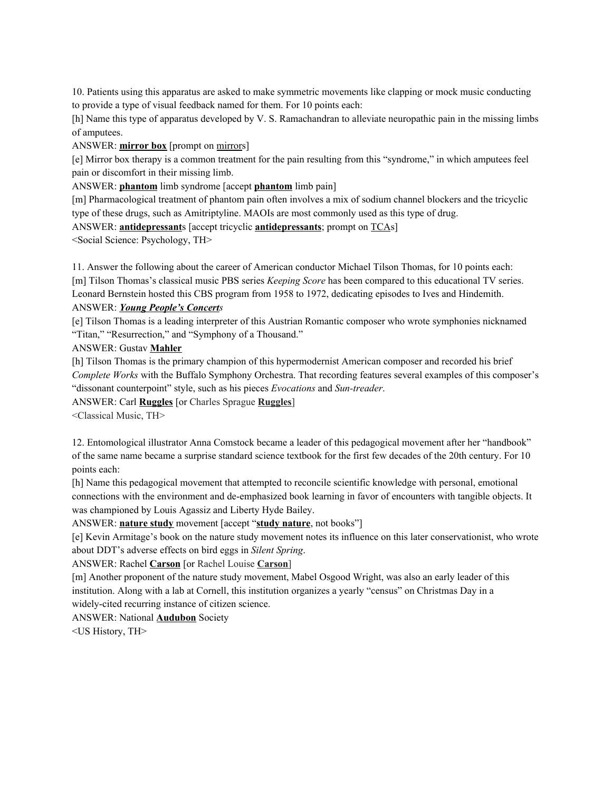10. Patients using this apparatus are asked to make symmetric movements like clapping or mock music conducting to provide a type of visual feedback named for them. For 10 points each:

[h] Name this type of apparatus developed by V. S. Ramachandran to alleviate neuropathic pain in the missing limbs of amputees.

ANSWER: **mirror box** [prompt on mirrors]

[e] Mirror box therapy is a common treatment for the pain resulting from this "syndrome," in which amputees feel pain or discomfort in their missing limb.

ANSWER: **phantom** limb syndrome [accept **phantom** limb pain]

[m] Pharmacological treatment of phantom pain often involves a mix of sodium channel blockers and the tricyclic type of these drugs, such as Amitriptyline. MAOIs are most commonly used as this type of drug.

ANSWER: **antidepressant**s [accept tricyclic **antidepressants**; prompt on TCAs]

<Social Science: Psychology, TH>

11. Answer the following about the career of American conductor Michael Tilson Thomas, for 10 points each: [m] Tilson Thomas's classical music PBS series *Keeping Score* has been compared to this educational TV series. Leonard Bernstein hosted this CBS program from 1958 to 1972, dedicating episodes to Ives and Hindemith.

## ANSWER: *Young People's Concerts*

[e] Tilson Thomas is a leading interpreter of this Austrian Romantic composer who wrote symphonies nicknamed "Titan," "Resurrection," and "Symphony of a Thousand."

ANSWER: Gustav **Mahler**

[h] Tilson Thomas is the primary champion of this hypermodernist American composer and recorded his brief *Complete Works* with the Buffalo Symphony Orchestra. That recording features several examples of this composer's "dissonant counterpoint" style, such as his pieces *Evocations* and *Sun-treader*.

ANSWER: Carl **Ruggles** [or Charles Sprague **Ruggles**]

<Classical Music, TH>

12. Entomological illustrator Anna Comstock became a leader of this pedagogical movement after her "handbook" of the same name became a surprise standard science textbook for the first few decades of the 20th century. For 10 points each:

[h] Name this pedagogical movement that attempted to reconcile scientific knowledge with personal, emotional connections with the environment and de-emphasized book learning in favor of encounters with tangible objects. It was championed by Louis Agassiz and Liberty Hyde Bailey.

ANSWER: **nature study** movement [accept "**study nature**, not books"]

[e] Kevin Armitage's book on the nature study movement notes its influence on this later conservationist, who wrote about DDT's adverse effects on bird eggs in *Silent Spring*.

ANSWER: Rachel **Carson** [or Rachel Louise **Carson**]

[m] Another proponent of the nature study movement, Mabel Osgood Wright, was also an early leader of this institution. Along with a lab at Cornell, this institution organizes a yearly "census" on Christmas Day in a widely-cited recurring instance of citizen science.

ANSWER: National **Audubon** Society

<US History, TH>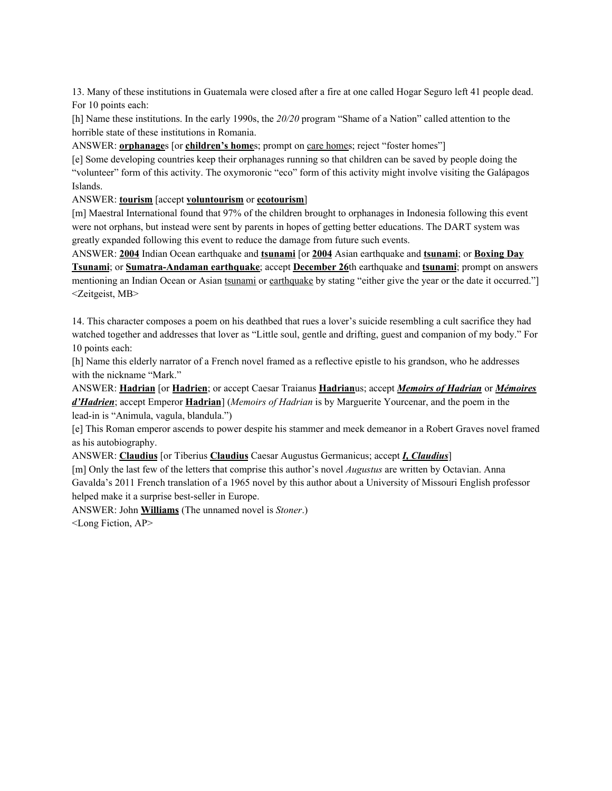13. Many of these institutions in Guatemala were closed after a fire at one called Hogar Seguro left 41 people dead. For 10 points each:

[h] Name these institutions. In the early 1990s, the *20/20* program "Shame of a Nation" called attention to the horrible state of these institutions in Romania.

ANSWER: **orphanage**s [or **children's home**s; prompt on care homes; reject "foster homes"]

[e] Some developing countries keep their orphanages running so that children can be saved by people doing the "volunteer" form of this activity. The oxymoronic "eco" form of this activity might involve visiting the Galápagos Islands.

## ANSWER: **tourism** [accept **voluntourism** or **ecotourism**]

[m] Maestral International found that 97% of the children brought to orphanages in Indonesia following this event were not orphans, but instead were sent by parents in hopes of getting better educations. The DART system was greatly expanded following this event to reduce the damage from future such events.

ANSWER: **2004** Indian Ocean earthquake and **tsunami** [or **2004** Asian earthquake and **tsunami**; or **Boxing Day Tsunami**; or **Sumatra-Andaman earthquake**; accept **December 26**th earthquake and **tsunami**; prompt on answers mentioning an Indian Ocean or Asian tsunami or earthquake by stating "either give the year or the date it occurred."] <Zeitgeist, MB>

14. This character composes a poem on his deathbed that rues a lover's suicide resembling a cult sacrifice they had watched together and addresses that lover as "Little soul, gentle and drifting, guest and companion of my body." For 10 points each:

[h] Name this elderly narrator of a French novel framed as a reflective epistle to his grandson, who he addresses with the nickname "Mark."

ANSWER: **Hadrian** [or **Hadrien**; or accept Caesar Traianus **Hadrian**us; accept *Memoirs of Hadrian* or *Mémoires d'Hadrien*; accept Emperor **Hadrian**] (*Memoirs of Hadrian* is by Marguerite Yourcenar, and the poem in the lead-in is "Animula, vagula, blandula.")

[e] This Roman emperor ascends to power despite his stammer and meek demeanor in a Robert Graves novel framed as his autobiography.

ANSWER: **Claudius** [or Tiberius **Claudius** Caesar Augustus Germanicus; accept *I, Claudius*]

[m] Only the last few of the letters that comprise this author's novel *Augustus* are written by Octavian. Anna Gavalda's 2011 French translation of a 1965 novel by this author about a University of Missouri English professor helped make it a surprise best-seller in Europe.

ANSWER: John **Williams** (The unnamed novel is *Stoner*.) <Long Fiction, AP>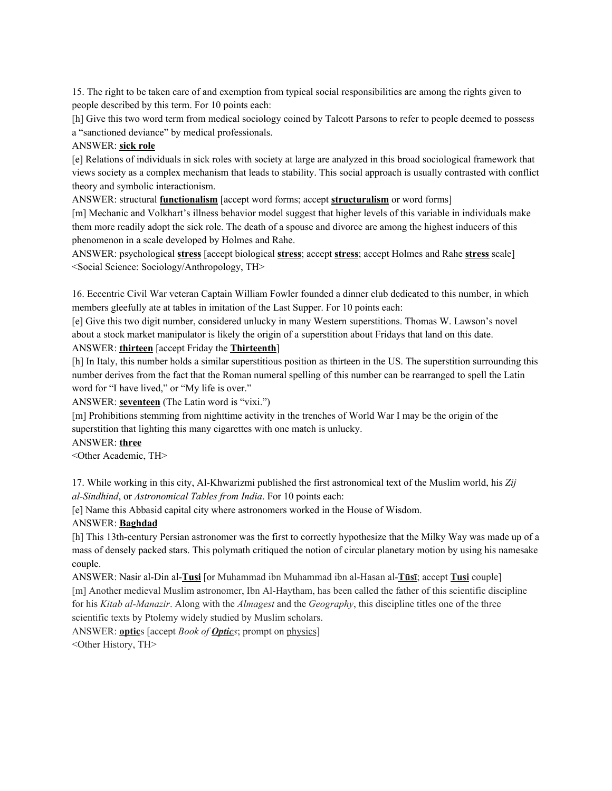15. The right to be taken care of and exemption from typical social responsibilities are among the rights given to people described by this term. For 10 points each:

[h] Give this two word term from medical sociology coined by Talcott Parsons to refer to people deemed to possess a "sanctioned deviance" by medical professionals.

## ANSWER: **sick role**

[e] Relations of individuals in sick roles with society at large are analyzed in this broad sociological framework that views society as a complex mechanism that leads to stability. This social approach is usually contrasted with conflict theory and symbolic interactionism.

ANSWER: structural **functionalism** [accept word forms; accept **structuralism** or word forms]

[m] Mechanic and Volkhart's illness behavior model suggest that higher levels of this variable in individuals make them more readily adopt the sick role. The death of a spouse and divorce are among the highest inducers of this phenomenon in a scale developed by Holmes and Rahe.

ANSWER: psychological **stress** [accept biological **stress**; accept **stress**; accept Holmes and Rahe **stress** scale] <Social Science: Sociology/Anthropology, TH>

16. Eccentric Civil War veteran Captain William Fowler founded a dinner club dedicated to this number, in which members gleefully ate at tables in imitation of the Last Supper. For 10 points each:

[e] Give this two digit number, considered unlucky in many Western superstitions. Thomas W. Lawson's novel about a stock market manipulator is likely the origin of a superstition about Fridays that land on this date. ANSWER: **thirteen** [accept Friday the **Thirteenth**]

[h] In Italy, this number holds a similar superstitious position as thirteen in the US. The superstition surrounding this

number derives from the fact that the Roman numeral spelling of this number can be rearranged to spell the Latin word for "I have lived," or "My life is over."

ANSWER: **seventeen** (The Latin word is "vixi.")

[m] Prohibitions stemming from nighttime activity in the trenches of World War I may be the origin of the superstition that lighting this many cigarettes with one match is unlucky.

# ANSWER: **three**

<Other Academic, TH>

17. While working in this city, Al-Khwarizmi published the first astronomical text of the Muslim world, his *Zij al-Sindhind*, or *Astronomical Tables from India*. For 10 points each:

[e] Name this Abbasid capital city where astronomers worked in the House of Wisdom.

# ANSWER: **Baghdad**

[h] This 13th-century Persian astronomer was the first to correctly hypothesize that the Milky Way was made up of a mass of densely packed stars. This polymath critiqued the notion of circular planetary motion by using his namesake couple.

ANSWER: Nasir al-Din al-**Tusi** [or Muhammad ibn Muhammad ibn al-Hasan al-**Tūsī**; accept **Tusi** couple] [m] Another medieval Muslim astronomer, Ibn Al-Haytham, has been called the father of this scientific discipline for his *Kitab al-Manazir*. Along with the *Almagest* and the *Geography*, this discipline titles one of the three scientific texts by Ptolemy widely studied by Muslim scholars.

ANSWER: **optic**s [accept *Book of Optics*; prompt on physics] <Other History, TH>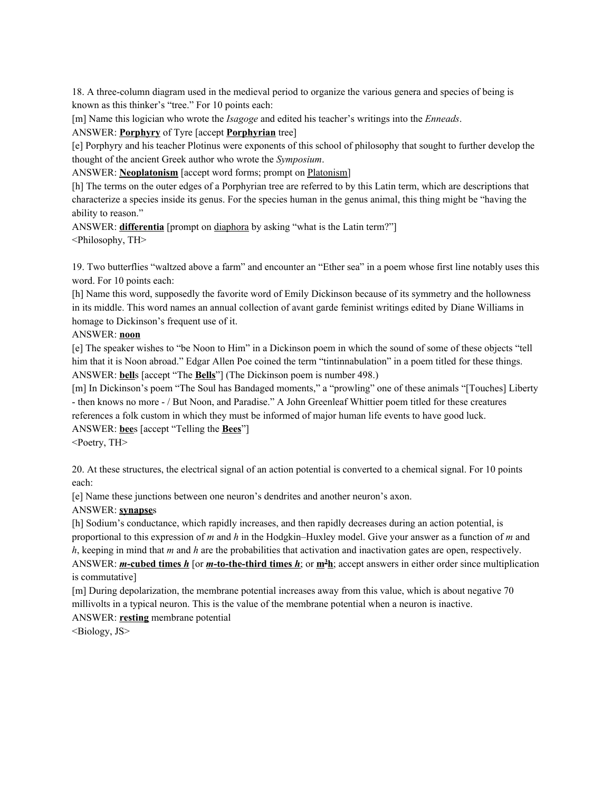18. A three-column diagram used in the medieval period to organize the various genera and species of being is known as this thinker's "tree." For 10 points each:

[m] Name this logician who wrote the *Isagoge* and edited his teacher's writings into the *Enneads*.

# ANSWER: **Porphyry** of Tyre [accept **Porphyrian** tree]

[e] Porphyry and his teacher Plotinus were exponents of this school of philosophy that sought to further develop the thought of the ancient Greek author who wrote the *Symposium*.

ANSWER: **Neoplatonism** [accept word forms; prompt on Platonism]

[h] The terms on the outer edges of a Porphyrian tree are referred to by this Latin term, which are descriptions that characterize a species inside its genus. For the species human in the genus animal, this thing might be "having the ability to reason."

ANSWER: **differentia** [prompt on diaphora by asking "what is the Latin term?"] <Philosophy, TH>

19. Two butterflies "waltzed above a farm" and encounter an "Ether sea" in a poem whose first line notably uses this word. For 10 points each:

[h] Name this word, supposedly the favorite word of Emily Dickinson because of its symmetry and the hollowness in its middle. This word names an annual collection of avant garde feminist writings edited by Diane Williams in homage to Dickinson's frequent use of it.

## ANSWER: **noon**

[e] The speaker wishes to "be Noon to Him" in a Dickinson poem in which the sound of some of these objects "tell him that it is Noon abroad." Edgar Allen Poe coined the term "tintinnabulation" in a poem titled for these things. ANSWER: **bell**s [accept "The **Bells**"] (The Dickinson poem is number 498.)

[m] In Dickinson's poem "The Soul has Bandaged moments," a "prowling" one of these animals "[Touches] Liberty - then knows no more - / But Noon, and Paradise." A John Greenleaf Whittier poem titled for these creatures references a folk custom in which they must be informed of major human life events to have good luck. ANSWER: **bee**s [accept "Telling the **Bees**"]

<Poetry, TH>

20. At these structures, the electrical signal of an action potential is converted to a chemical signal. For 10 points each:

[e] Name these junctions between one neuron's dendrites and another neuron's axon.

# ANSWER: **synapse**s

[h] Sodium's conductance, which rapidly increases, and then rapidly decreases during an action potential, is proportional to this expression of *m* and *h* in the Hodgkin–Huxley model. Give your answer as a function of *m* and *h*, keeping in mind that *m* and *h* are the probabilities that activation and inactivation gates are open, respectively. ANSWER: *m***-cubed times** *h* [or *m***-to-the-third times** *h*; or **m<sup>3</sup>h**; accept answers in either order since multiplication is commutative]

[m] During depolarization, the membrane potential increases away from this value, which is about negative 70 millivolts in a typical neuron. This is the value of the membrane potential when a neuron is inactive.

ANSWER: **resting** membrane potential

<Biology, JS>